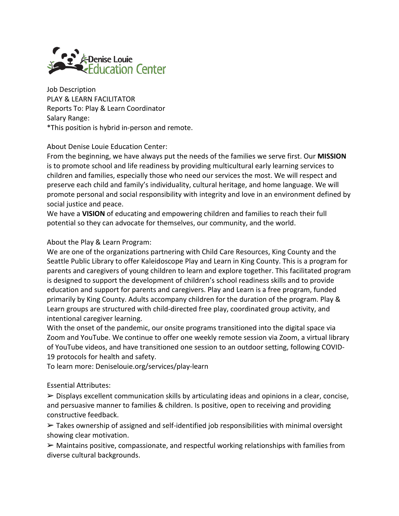

Job Description PLAY & LEARN FACILITATOR Reports To: Play & Learn Coordinator Salary Range: \*This position is hybrid in-person and remote.

### About Denise Louie Education Center:

From the beginning, we have always put the needs of the families we serve first. Our **MISSION**  is to promote school and life readiness by providing multicultural early learning services to children and families, especially those who need our services the most. We will respect and preserve each child and family's individuality, cultural heritage, and home language. We will promote personal and social responsibility with integrity and love in an environment defined by social justice and peace.

We have a **VISION** of educating and empowering children and families to reach their full potential so they can advocate for themselves, our community, and the world.

## About the Play & Learn Program:

We are one of the organizations partnering with Child Care Resources, King County and the Seattle Public Library to offer Kaleidoscope Play and Learn in King County. This is a program for parents and caregivers of young children to learn and explore together. This facilitated program is designed to support the development of children's school readiness skills and to provide education and support for parents and caregivers. Play and Learn is a free program, funded primarily by King County. Adults accompany children for the duration of the program. Play & Learn groups are structured with child-directed free play, coordinated group activity, and intentional caregiver learning.

With the onset of the pandemic, our onsite programs transitioned into the digital space via Zoom and YouTube. We continue to offer one weekly remote session via Zoom, a virtual library of YouTube videos, and have transitioned one session to an outdoor setting, following COVID-19 protocols for health and safety.

To learn more: Deniselouie.org/services/play-learn

#### Essential Attributes:

 $\triangleright$  Displays excellent communication skills by articulating ideas and opinions in a clear, concise, and persuasive manner to families & children. Is positive, open to receiving and providing constructive feedback.

 $\triangleright$  Takes ownership of assigned and self-identified job responsibilities with minimal oversight showing clear motivation.

➢ Maintains positive, compassionate, and respectful working relationships with families from diverse cultural backgrounds.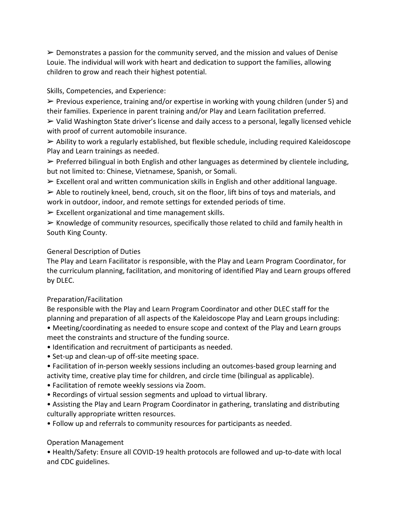$\triangleright$  Demonstrates a passion for the community served, and the mission and values of Denise Louie. The individual will work with heart and dedication to support the families, allowing children to grow and reach their highest potential.

#### Skills, Competencies, and Experience:

 $\triangleright$  Previous experience, training and/or expertise in working with young children (under 5) and their families. Experience in parent training and/or Play and Learn facilitation preferred.

➢ Valid Washington State driver's license and daily access to a personal, legally licensed vehicle with proof of current automobile insurance.

 $\triangleright$  Ability to work a regularly established, but flexible schedule, including required Kaleidoscope Play and Learn trainings as needed.

 $\triangleright$  Preferred bilingual in both English and other languages as determined by clientele including, but not limited to: Chinese, Vietnamese, Spanish, or Somali.

 $\triangleright$  Excellent oral and written communication skills in English and other additional language.

 $\triangleright$  Able to routinely kneel, bend, crouch, sit on the floor, lift bins of toys and materials, and work in outdoor, indoor, and remote settings for extended periods of time.

 $\triangleright$  Excellent organizational and time management skills.

 $\triangleright$  Knowledge of community resources, specifically those related to child and family health in South King County.

## General Description of Duties

The Play and Learn Facilitator is responsible, with the Play and Learn Program Coordinator, for the curriculum planning, facilitation, and monitoring of identified Play and Learn groups offered by DLEC.

## Preparation/Facilitation

Be responsible with the Play and Learn Program Coordinator and other DLEC staff for the planning and preparation of all aspects of the Kaleidoscope Play and Learn groups including:

• Meeting/coordinating as needed to ensure scope and context of the Play and Learn groups meet the constraints and structure of the funding source.

- Identification and recruitment of participants as needed.
- Set-up and clean-up of off-site meeting space.

• Facilitation of in-person weekly sessions including an outcomes-based group learning and activity time, creative play time for children, and circle time (bilingual as applicable).

- Facilitation of remote weekly sessions via Zoom.
- Recordings of virtual session segments and upload to virtual library.
- Assisting the Play and Learn Program Coordinator in gathering, translating and distributing culturally appropriate written resources.
- Follow up and referrals to community resources for participants as needed.

# Operation Management

• Health/Safety: Ensure all COVID-19 health protocols are followed and up-to-date with local and CDC guidelines.